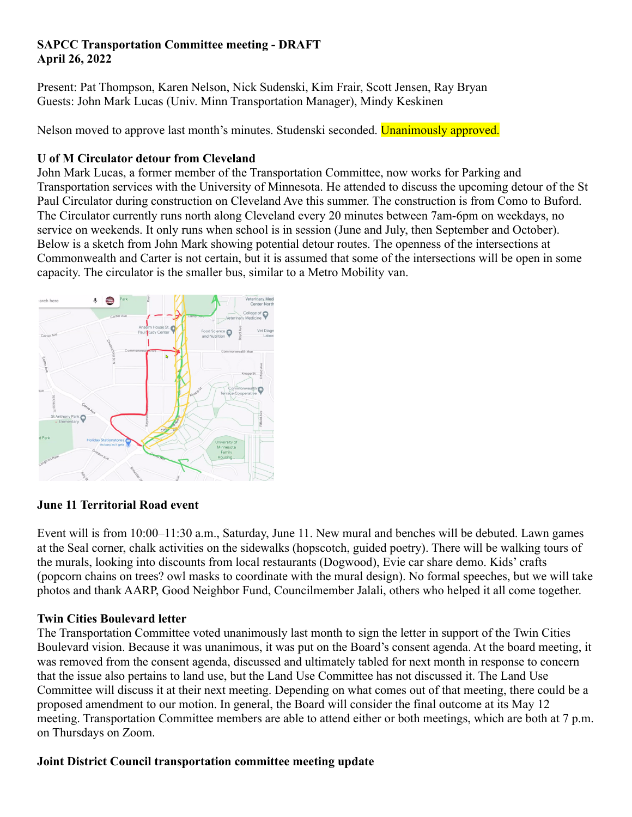### **SAPCC Transportation Committee meeting - DRAFT April 26, 2022**

Present: Pat Thompson, Karen Nelson, Nick Sudenski, Kim Frair, Scott Jensen, Ray Bryan Guests: John Mark Lucas (Univ. Minn Transportation Manager), Mindy Keskinen

Nelson moved to approve last month's minutes. Studenski seconded. Unanimously approved.

# **U of M Circulator detour from Cleveland**

John Mark Lucas, a former member of the Transportation Committee, now works for Parking and Transportation services with the University of Minnesota. He attended to discuss the upcoming detour of the St Paul Circulator during construction on Cleveland Ave this summer. The construction is from Como to Buford. The Circulator currently runs north along Cleveland every 20 minutes between 7am-6pm on weekdays, no service on weekends. It only runs when school is in session (June and July, then September and October). Below is a sketch from John Mark showing potential detour routes. The openness of the intersections at Commonwealth and Carter is not certain, but it is assumed that some of the intersections will be open in some capacity. The circulator is the smaller bus, similar to a Metro Mobility van.



### **June 11 Territorial Road event**

Event will is from 10:00–11:30 a.m., Saturday, June 11. New mural and benches will be debuted. Lawn games at the Seal corner, chalk activities on the sidewalks (hopscotch, guided poetry). There will be walking tours of the murals, looking into discounts from local restaurants (Dogwood), Evie car share demo. Kids' crafts (popcorn chains on trees? owl masks to coordinate with the mural design). No formal speeches, but we will take photos and thank AARP, Good Neighbor Fund, Councilmember Jalali, others who helped it all come together.

## **Twin Cities Boulevard letter**

The Transportation Committee voted unanimously last month to sign the letter in support of the Twin Cities Boulevard vision. Because it was unanimous, it was put on the Board's consent agenda. At the board meeting, it was removed from the consent agenda, discussed and ultimately tabled for next month in response to concern that the issue also pertains to land use, but the Land Use Committee has not discussed it. The Land Use Committee will discuss it at their next meeting. Depending on what comes out of that meeting, there could be a proposed amendment to our motion. In general, the Board will consider the final outcome at its May 12 meeting. Transportation Committee members are able to attend either or both meetings, which are both at 7 p.m. on Thursdays on Zoom.

## **Joint District Council transportation committee meeting update**